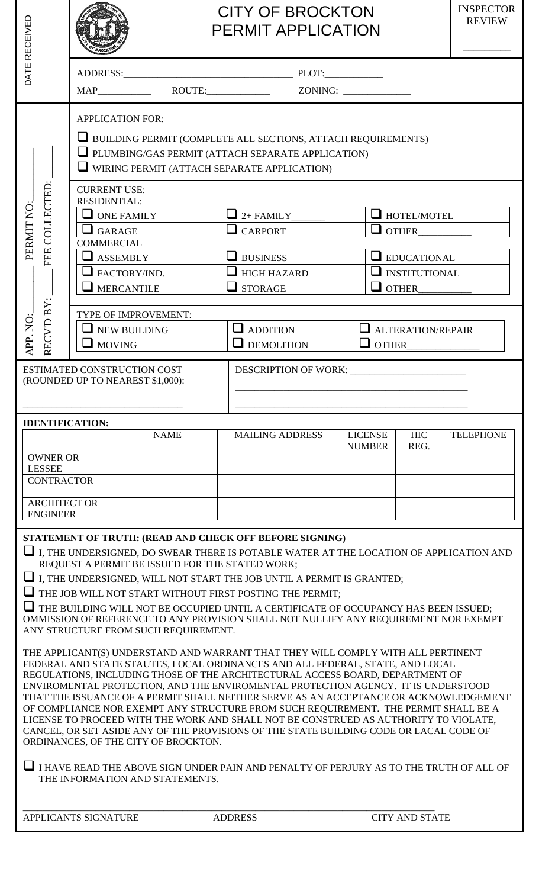| RECEIVED                                              |                                                                                              |                                                                                                                                 | <b>CITY OF BROCKTON</b><br><b>PERMIT APPLICATION</b>                                                                                                                                                                                                                                                                                                                                                                                                                                                                                                                                                                                                                                                                                                                                                                                                                                                                                                                                                                                                                                                                                                                                                    |                                                                                           | <b>INSPECTOR</b><br><b>REVIEW</b> |
|-------------------------------------------------------|----------------------------------------------------------------------------------------------|---------------------------------------------------------------------------------------------------------------------------------|---------------------------------------------------------------------------------------------------------------------------------------------------------------------------------------------------------------------------------------------------------------------------------------------------------------------------------------------------------------------------------------------------------------------------------------------------------------------------------------------------------------------------------------------------------------------------------------------------------------------------------------------------------------------------------------------------------------------------------------------------------------------------------------------------------------------------------------------------------------------------------------------------------------------------------------------------------------------------------------------------------------------------------------------------------------------------------------------------------------------------------------------------------------------------------------------------------|-------------------------------------------------------------------------------------------|-----------------------------------|
| DATE                                                  |                                                                                              |                                                                                                                                 |                                                                                                                                                                                                                                                                                                                                                                                                                                                                                                                                                                                                                                                                                                                                                                                                                                                                                                                                                                                                                                                                                                                                                                                                         |                                                                                           |                                   |
|                                                       |                                                                                              |                                                                                                                                 |                                                                                                                                                                                                                                                                                                                                                                                                                                                                                                                                                                                                                                                                                                                                                                                                                                                                                                                                                                                                                                                                                                                                                                                                         |                                                                                           |                                   |
|                                                       |                                                                                              | <b>APPLICATION FOR:</b>                                                                                                         | <b>U</b> BUILDING PERMIT (COMPLETE ALL SECTIONS, ATTACH REQUIREMENTS)<br>PLUMBING/GAS PERMIT (ATTACH SEPARATE APPLICATION)<br>$\Box$ WIRING PERMIT (ATTACH SEPARATE APPLICATION)                                                                                                                                                                                                                                                                                                                                                                                                                                                                                                                                                                                                                                                                                                                                                                                                                                                                                                                                                                                                                        |                                                                                           |                                   |
| FEE COLLECTED:<br>PERMIT NO:                          | <b>CURRENT USE:</b><br>RESIDENTIAL:<br>$\Box$ GARAGE<br><b>COMMERCIAL</b><br>$\Box$ ASSEMBLY | $\Box$ ONE FAMILY<br>$\blacksquare$ FACTORY/IND.<br>$\Box$ MERCANTILE                                                           | $\Box$ 2+ FAMILY____<br>$\Box$ CARPORT<br><b>S</b> BUSINESS<br>$\Box$ HIGH HAZARD<br>$\Box$ STORAGE                                                                                                                                                                                                                                                                                                                                                                                                                                                                                                                                                                                                                                                                                                                                                                                                                                                                                                                                                                                                                                                                                                     | HOTEL/MOTEL<br>$\Box$ OTHER<br>$\Box$ EDUCATIONAL<br>$\Box$ INSTITUTIONAL<br>$\Box$ OTHER |                                   |
| RECV'D BY:<br>APP. NO:                                | $\Box$ MOVING                                                                                | TYPE OF IMPROVEMENT:<br>$\Box$ NEW BUILDING                                                                                     | $\Box$ ADDITION<br>$\Box$ DEMOLITION                                                                                                                                                                                                                                                                                                                                                                                                                                                                                                                                                                                                                                                                                                                                                                                                                                                                                                                                                                                                                                                                                                                                                                    | ALTERATION/REPAIR<br>$\Box$ OTHER                                                         |                                   |
|                                                       |                                                                                              | ESTIMATED CONSTRUCTION COST<br>(ROUNDED UP TO NEAREST \$1,000):                                                                 |                                                                                                                                                                                                                                                                                                                                                                                                                                                                                                                                                                                                                                                                                                                                                                                                                                                                                                                                                                                                                                                                                                                                                                                                         |                                                                                           |                                   |
| <b>IDENTIFICATION:</b>                                |                                                                                              | <b>NAME</b>                                                                                                                     | <b>MAILING ADDRESS</b>                                                                                                                                                                                                                                                                                                                                                                                                                                                                                                                                                                                                                                                                                                                                                                                                                                                                                                                                                                                                                                                                                                                                                                                  | <b>LICENSE</b><br><b>HIC</b><br>REG.<br><b>NUMBER</b>                                     | <b>TELEPHONE</b>                  |
| <b>OWNER OR</b><br><b>LESSEE</b><br><b>CONTRACTOR</b> |                                                                                              |                                                                                                                                 |                                                                                                                                                                                                                                                                                                                                                                                                                                                                                                                                                                                                                                                                                                                                                                                                                                                                                                                                                                                                                                                                                                                                                                                                         |                                                                                           |                                   |
| <b>ARCHITECT OR</b><br><b>ENGINEER</b>                |                                                                                              |                                                                                                                                 |                                                                                                                                                                                                                                                                                                                                                                                                                                                                                                                                                                                                                                                                                                                                                                                                                                                                                                                                                                                                                                                                                                                                                                                                         |                                                                                           |                                   |
|                                                       |                                                                                              | REQUEST A PERMIT BE ISSUED FOR THE STATED WORK;<br>ANY STRUCTURE FROM SUCH REQUIREMENT.<br>ORDINANCES, OF THE CITY OF BROCKTON. | STATEMENT OF TRUTH: (READ AND CHECK OFF BEFORE SIGNING)<br>$\Box$ I, THE UNDERSIGNED, DO SWEAR THERE IS POTABLE WATER AT THE LOCATION OF APPLICATION AND<br>$\Box$ I, THE UNDERSIGNED, WILL NOT START THE JOB UNTIL A PERMIT IS GRANTED;<br>$\Box$ THE JOB WILL NOT START WITHOUT FIRST POSTING THE PERMIT;<br>THE BUILDING WILL NOT BE OCCUPIED UNTIL A CERTIFICATE OF OCCUPANCY HAS BEEN ISSUED;<br>OMMISSION OF REFERENCE TO ANY PROVISION SHALL NOT NULLIFY ANY REQUIREMENT NOR EXEMPT<br>THE APPLICANT(S) UNDERSTAND AND WARRANT THAT THEY WILL COMPLY WITH ALL PERTINENT<br>FEDERAL AND STATE STAUTES, LOCAL ORDINANCES AND ALL FEDERAL, STATE, AND LOCAL<br>REGULATIONS, INCLUDING THOSE OF THE ARCHITECTURAL ACCESS BOARD, DEPARTMENT OF<br>ENVIROMENTAL PROTECTION, AND THE ENVIROMENTAL PROTECTION AGENCY. IT IS UNDERSTOOD<br>THAT THE ISSUANCE OF A PERMIT SHALL NEITHER SERVE AS AN ACCEPTANCE OR ACKNOWLEDGEMENT<br>OF COMPLIANCE NOR EXEMPT ANY STRUCTURE FROM SUCH REQUIREMENT. THE PERMIT SHALL BE A<br>LICENSE TO PROCEED WITH THE WORK AND SHALL NOT BE CONSTRUED AS AUTHORITY TO VIOLATE,<br>CANCEL, OR SET ASIDE ANY OF THE PROVISIONS OF THE STATE BUILDING CODE OR LACAL CODE OF |                                                                                           |                                   |
|                                                       |                                                                                              | THE INFORMATION AND STATEMENTS.                                                                                                 | I HAVE READ THE ABOVE SIGN UNDER PAIN AND PENALTY OF PERJURY AS TO THE TRUTH OF ALL OF                                                                                                                                                                                                                                                                                                                                                                                                                                                                                                                                                                                                                                                                                                                                                                                                                                                                                                                                                                                                                                                                                                                  |                                                                                           |                                   |
| APPLICANTS SIGNATURE                                  |                                                                                              |                                                                                                                                 | <b>ADDRESS</b>                                                                                                                                                                                                                                                                                                                                                                                                                                                                                                                                                                                                                                                                                                                                                                                                                                                                                                                                                                                                                                                                                                                                                                                          | <b>CITY AND STATE</b>                                                                     |                                   |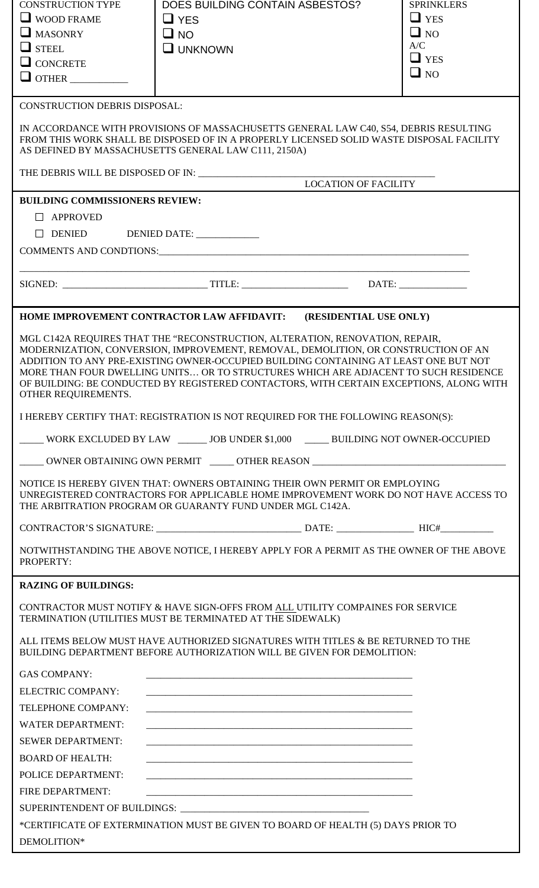| <b>CONSTRUCTION TYPE</b>              | DOES BUILDING CONTAIN ASBESTOS?                                                                                                                                                                                                                                                                                                                                                                                                              | <b>SPRINKLERS</b> |
|---------------------------------------|----------------------------------------------------------------------------------------------------------------------------------------------------------------------------------------------------------------------------------------------------------------------------------------------------------------------------------------------------------------------------------------------------------------------------------------------|-------------------|
| $\Box$ WOOD FRAME                     | $\Box$ YES                                                                                                                                                                                                                                                                                                                                                                                                                                   | $\Box$ YES        |
| $\Box$ MASONRY                        | $\square$ NO                                                                                                                                                                                                                                                                                                                                                                                                                                 | $\Box$ NO         |
| $\Box$ STEEL                          | $\square$ UNKNOWN                                                                                                                                                                                                                                                                                                                                                                                                                            | A/C<br>$\Box$ YES |
| $\Box$ CONCRETE                       |                                                                                                                                                                                                                                                                                                                                                                                                                                              | $\Box$ NO         |
| $\Box$ OTHER                          |                                                                                                                                                                                                                                                                                                                                                                                                                                              |                   |
| <b>CONSTRUCTION DEBRIS DISPOSAL:</b>  |                                                                                                                                                                                                                                                                                                                                                                                                                                              |                   |
|                                       | IN ACCORDANCE WITH PROVISIONS OF MASSACHUSETTS GENERAL LAW C40, S54, DEBRIS RESULTING<br>FROM THIS WORK SHALL BE DISPOSED OF IN A PROPERLY LICENSED SOLID WASTE DISPOSAL FACILITY<br>AS DEFINED BY MASSACHUSETTS GENERAL LAW C111, 2150A)                                                                                                                                                                                                    |                   |
|                                       | <b>LOCATION OF FACILITY</b>                                                                                                                                                                                                                                                                                                                                                                                                                  |                   |
| <b>BUILDING COMMISSIONERS REVIEW:</b> |                                                                                                                                                                                                                                                                                                                                                                                                                                              |                   |
| $\Box$ APPROVED                       |                                                                                                                                                                                                                                                                                                                                                                                                                                              |                   |
|                                       |                                                                                                                                                                                                                                                                                                                                                                                                                                              |                   |
|                                       |                                                                                                                                                                                                                                                                                                                                                                                                                                              |                   |
|                                       |                                                                                                                                                                                                                                                                                                                                                                                                                                              |                   |
|                                       |                                                                                                                                                                                                                                                                                                                                                                                                                                              |                   |
|                                       |                                                                                                                                                                                                                                                                                                                                                                                                                                              |                   |
|                                       | HOME IMPROVEMENT CONTRACTOR LAW AFFIDAVIT: (RESIDENTIAL USE ONLY)                                                                                                                                                                                                                                                                                                                                                                            |                   |
| OTHER REQUIREMENTS.                   | MGL C142A REQUIRES THAT THE "RECONSTRUCTION, ALTERATION, RENOVATION, REPAIR,<br>MODERNIZATION, CONVERSION, IMPROVEMENT, REMOVAL, DEMOLITION, OR CONSTRUCTION OF AN<br>ADDITION TO ANY PRE-EXISTING OWNER-OCCUPIED BUILDING CONTAINING AT LEAST ONE BUT NOT<br>MORE THAN FOUR DWELLING UNITS OR TO STRUCTURES WHICH ARE ADJACENT TO SUCH RESIDENCE<br>OF BUILDING: BE CONDUCTED BY REGISTERED CONTACTORS, WITH CERTAIN EXCEPTIONS, ALONG WITH |                   |
|                                       | I HEREBY CERTIFY THAT: REGISTRATION IS NOT REQUIRED FOR THE FOLLOWING REASON(S):                                                                                                                                                                                                                                                                                                                                                             |                   |
|                                       | WORK EXCLUDED BY LAW _______ JOB UNDER \$1,000 _______ BUILDING NOT OWNER-OCCUPIED                                                                                                                                                                                                                                                                                                                                                           |                   |
|                                       | ____ OWNER OBTAINING OWN PERMIT _____ OTHER REASON _____________________________                                                                                                                                                                                                                                                                                                                                                             |                   |
|                                       | NOTICE IS HEREBY GIVEN THAT: OWNERS OBTAINING THEIR OWN PERMIT OR EMPLOYING<br>UNREGISTERED CONTRACTORS FOR APPLICABLE HOME IMPROVEMENT WORK DO NOT HAVE ACCESS TO<br>THE ARBITRATION PROGRAM OR GUARANTY FUND UNDER MGL C142A.                                                                                                                                                                                                              |                   |
|                                       |                                                                                                                                                                                                                                                                                                                                                                                                                                              |                   |
| PROPERTY:                             | NOTWITHSTANDING THE ABOVE NOTICE, I HEREBY APPLY FOR A PERMIT AS THE OWNER OF THE ABOVE                                                                                                                                                                                                                                                                                                                                                      |                   |
| <b>RAZING OF BUILDINGS:</b>           |                                                                                                                                                                                                                                                                                                                                                                                                                                              |                   |
|                                       | CONTRACTOR MUST NOTIFY & HAVE SIGN-OFFS FROM ALL UTILITY COMPAINES FOR SERVICE<br>TERMINATION (UTILITIES MUST BE TERMINATED AT THE SIDEWALK)                                                                                                                                                                                                                                                                                                 |                   |
|                                       | ALL ITEMS BELOW MUST HAVE AUTHORIZED SIGNATURES WITH TITLES & BE RETURNED TO THE<br>BUILDING DEPARTMENT BEFORE AUTHORIZATION WILL BE GIVEN FOR DEMOLITION:                                                                                                                                                                                                                                                                                   |                   |
| <b>GAS COMPANY:</b>                   |                                                                                                                                                                                                                                                                                                                                                                                                                                              |                   |
| ELECTRIC COMPANY:                     |                                                                                                                                                                                                                                                                                                                                                                                                                                              |                   |
| TELEPHONE COMPANY:                    |                                                                                                                                                                                                                                                                                                                                                                                                                                              |                   |
| <b>WATER DEPARTMENT:</b>              |                                                                                                                                                                                                                                                                                                                                                                                                                                              |                   |
| <b>SEWER DEPARTMENT:</b>              |                                                                                                                                                                                                                                                                                                                                                                                                                                              |                   |
| <b>BOARD OF HEALTH:</b>               |                                                                                                                                                                                                                                                                                                                                                                                                                                              |                   |
| <b>POLICE DEPARTMENT:</b>             |                                                                                                                                                                                                                                                                                                                                                                                                                                              |                   |
| FIRE DEPARTMENT:                      |                                                                                                                                                                                                                                                                                                                                                                                                                                              |                   |
|                                       |                                                                                                                                                                                                                                                                                                                                                                                                                                              |                   |
|                                       | *CERTIFICATE OF EXTERMINATION MUST BE GIVEN TO BOARD OF HEALTH (5) DAYS PRIOR TO                                                                                                                                                                                                                                                                                                                                                             |                   |
| DEMOLITION*                           |                                                                                                                                                                                                                                                                                                                                                                                                                                              |                   |
|                                       |                                                                                                                                                                                                                                                                                                                                                                                                                                              |                   |